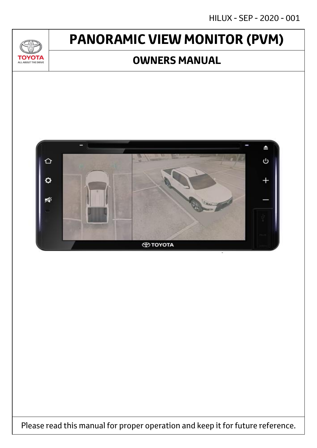# **PANORAMIC VIEW MONITOR (PVM)**

 $\mathcal{U}$ 

**TOYOTA** ALL ABOUT THE DRIVE

### **OWNERS MANUAL**



Please read this manual for proper operation and keep it for future reference.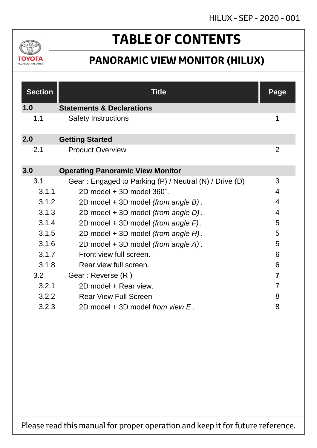

# **TABLE OF CONTENTS**

## **PANORAMIC VIEW MONITOR (HILUX)**

| <b>Section</b> | <b>Title</b>                                           | <b>Page</b>    |
|----------------|--------------------------------------------------------|----------------|
| 1.0            | <b>Statements &amp; Declarations</b>                   |                |
| 1.1            | <b>Safety Instructions</b>                             | 1              |
| 2.0            | <b>Getting Started</b>                                 |                |
| 2.1            | <b>Product Overview</b>                                | $\overline{2}$ |
| 3.0            | <b>Operating Panoramic View Monitor</b>                |                |
| 3.1            | Gear: Engaged to Parking (P) / Neutral (N) / Drive (D) | 3              |
| 3.1.1          | $2D$ model + 3D model $360^\circ$ .                    | $\overline{4}$ |
| 3.1.2          | 2D model + 3D model (from angle B).                    | 4              |
| 3.1.3          | 2D model + 3D model (from angle D).                    | 4              |
| 3.1.4          | 2D model + 3D model (from angle F).                    | 5              |
| 3.1.5          | 2D model + 3D model (from angle H).                    | 5              |
| 3.1.6          | 2D model + 3D model (from angle A).                    | 5              |
| 3.1.7          | Front view full screen.                                | 6              |
| 3.1.8          | Rear view full screen.                                 | 6              |
| 3.2            | Gear: Reverse (R)                                      | $\overline{7}$ |
| 3.2.1          | 2D model + Rear view.                                  | $\overline{7}$ |
| 3.2.2          | <b>Rear View Full Screen</b>                           | 8              |
| 3.2.3          | 2D model $+$ 3D model from view $E$ .                  | 8              |

Please read this manual for proper operation and keep it for future reference.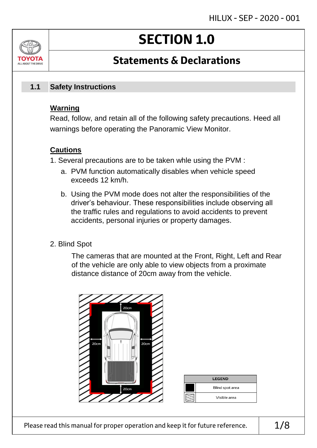# **SECTION 1.0**

## **Statements & Declarations**

#### **Safety Instructions 1.1**

#### **Warning**

ALL ABOUT THE DRIVE

Read, follow, and retain all of the following safety precautions. Heed all warnings before operating the Panoramic View Monitor.

#### **Cautions**

- 1. Several precautions are to be taken whle using the PVM :
	- a. PVM function automatically disables when vehicle speed exceeds 12 km/h.
	- b. Using the PVM mode does not alter the responsibilities of the driver's behaviour. These responsibilities include observing all the traffic rules and regulations to avoid accidents to prevent accidents, personal injuries or property damages.
- 2. Blind Spot

The cameras that are mounted at the Front, Right, Left and Rear of the vehicle are only able to view objects from a proximate distance distance of 20cm away from the vehicle.

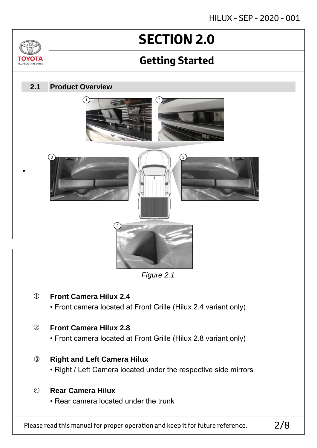# **SECTION 2.0**

## **Getting Started**

#### **Product Overview 2.1**

•

ΤΟΥΟΤΑ ALL ABOUT THE DRIVE







*Figure 2.1*

### **Front Camera Hilux 2.4**

• Front camera located at Front Grille (Hilux 2.4 variant only)

### **Front Camera Hilux 2.8**

• Front camera located at Front Grille (Hilux 2.8 variant only)

### **Right and Left Camera Hilux**

• Right / Left Camera located under the respective side mirrors

#### **Rear Camera Hilux**

• Rear camera located under the trunk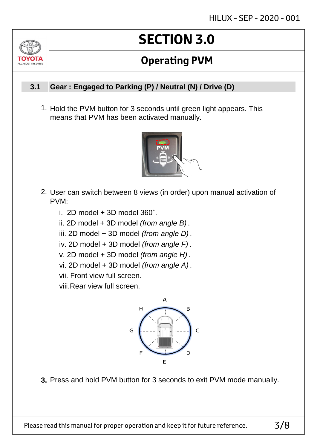# **SECTION 3.0**

## **Operating PVM**

#### **Gear : Engaged to Parking (P) / Neutral (N) / Drive (D) 3.1**

ALL AROUT THE DRIV

1. Hold the PVM button for 3 seconds until green light appears. This means that PVM has been activated manually.



- 2. User can switch between 8 views (in order) upon manual activation of PVM:
	- i. 2D model  $+$  3D model 360 $^{\circ}$ .
	- ii. 2D model + 3D model *(from angle B)* .
	- iii. 2D model + 3D model *(from angle D)* .
	- iv. 2D model + 3D model *(from angle F)* .
	- v. 2D model + 3D model *(from angle H)* .
	- vi. 2D model + 3D model *(from angle A)* .
	- vii. Front view full screen.

viii.Rear view full screen.



**3.** Press and hold PVM button for 3 seconds to exit PVM mode manually.

Please read this manual for proper operation and keep it for future reference.  $\vert$  3/8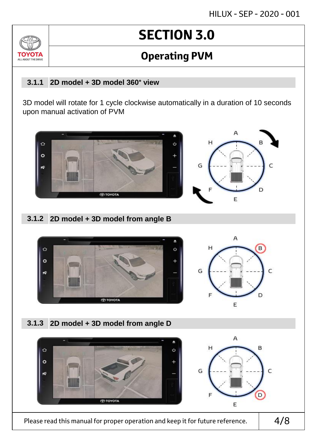# **SECTION 3.0**

## **Operating PVM**

#### **2D model + 3D model 360° view 3.1.1**

ALL AROUT THE D

3D model will rotate for 1 cycle clockwise automatically in a duration of 10 seconds upon manual activation of PVM



### **2D model + 3D model from angle B 3.1.2**



### **2D model + 3D model from angle D 3.1.3**



Please read this manual for proper operation and keep it for future reference.

4/8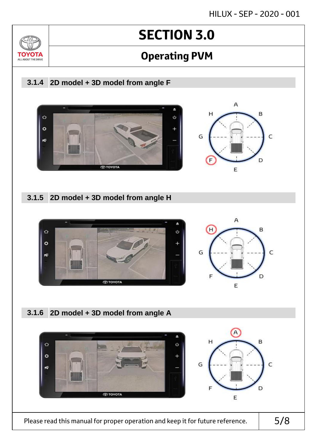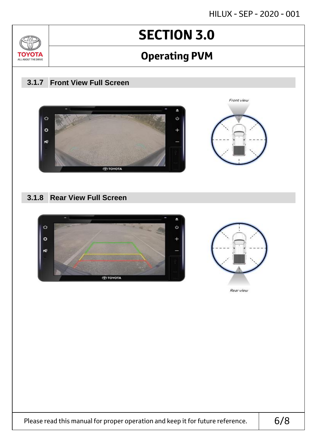

Please read this manual for proper operation and keep it for future reference.  $\vert$  6/8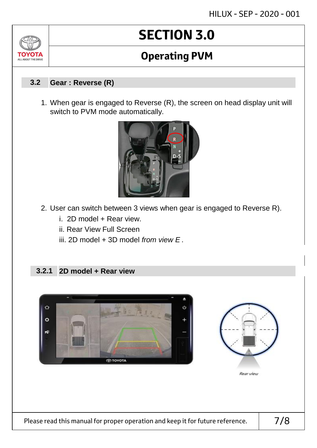# **SECTION 3.0**

## **Operating PVM**

#### **Gear : Reverse (R) 3.2**

1. When gear is engaged to Reverse (R), the screen on head display unit will switch to PVM mode automatically.



- 2. User can switch between 3 views when gear is engaged to Reverse R).
	- i. 2D model + Rear view.
	- ii. Rear View Full Screen
	- iii. 2D model + 3D model *from view E* .

#### **2D model + Rear view 3.2.1**



Please read this manual for proper operation and keep it for future reference.  $\vert$  7/8